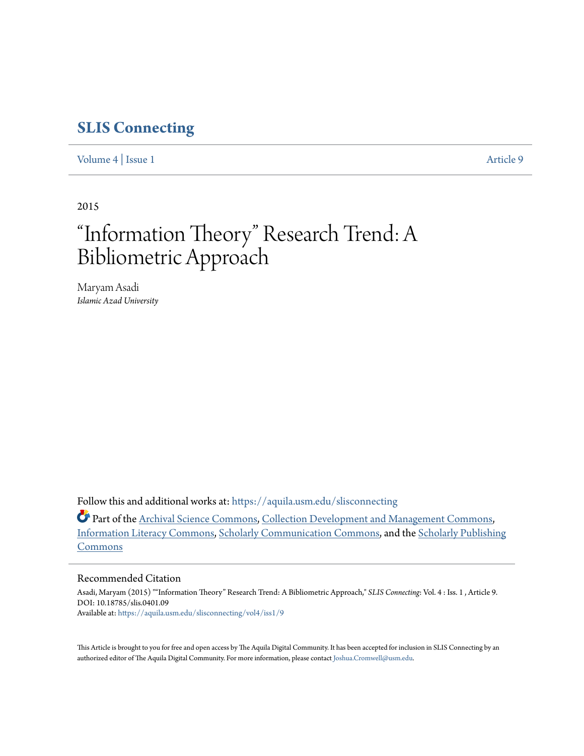# **[SLIS Connecting](https://aquila.usm.edu/slisconnecting?utm_source=aquila.usm.edu%2Fslisconnecting%2Fvol4%2Fiss1%2F9&utm_medium=PDF&utm_campaign=PDFCoverPages)**

[Volume 4](https://aquila.usm.edu/slisconnecting/vol4?utm_source=aquila.usm.edu%2Fslisconnecting%2Fvol4%2Fiss1%2F9&utm_medium=PDF&utm_campaign=PDFCoverPages) | [Issue 1](https://aquila.usm.edu/slisconnecting/vol4/iss1?utm_source=aquila.usm.edu%2Fslisconnecting%2Fvol4%2Fiss1%2F9&utm_medium=PDF&utm_campaign=PDFCoverPages) [Article 9](https://aquila.usm.edu/slisconnecting/vol4/iss1/9?utm_source=aquila.usm.edu%2Fslisconnecting%2Fvol4%2Fiss1%2F9&utm_medium=PDF&utm_campaign=PDFCoverPages)

2015

# "Information Theory" Research Trend: A Bibliometric Approach

Maryam Asadi *Islamic Azad University*

Follow this and additional works at: [https://aquila.usm.edu/slisconnecting](https://aquila.usm.edu/slisconnecting?utm_source=aquila.usm.edu%2Fslisconnecting%2Fvol4%2Fiss1%2F9&utm_medium=PDF&utm_campaign=PDFCoverPages)

Part of the [Archival Science Commons,](http://network.bepress.com/hgg/discipline/1021?utm_source=aquila.usm.edu%2Fslisconnecting%2Fvol4%2Fiss1%2F9&utm_medium=PDF&utm_campaign=PDFCoverPages) [Collection Development and Management Commons,](http://network.bepress.com/hgg/discipline/1271?utm_source=aquila.usm.edu%2Fslisconnecting%2Fvol4%2Fiss1%2F9&utm_medium=PDF&utm_campaign=PDFCoverPages) [Information Literacy Commons,](http://network.bepress.com/hgg/discipline/1243?utm_source=aquila.usm.edu%2Fslisconnecting%2Fvol4%2Fiss1%2F9&utm_medium=PDF&utm_campaign=PDFCoverPages) [Scholarly Communication Commons](http://network.bepress.com/hgg/discipline/1272?utm_source=aquila.usm.edu%2Fslisconnecting%2Fvol4%2Fiss1%2F9&utm_medium=PDF&utm_campaign=PDFCoverPages), and the [Scholarly Publishing](http://network.bepress.com/hgg/discipline/1273?utm_source=aquila.usm.edu%2Fslisconnecting%2Fvol4%2Fiss1%2F9&utm_medium=PDF&utm_campaign=PDFCoverPages) [Commons](http://network.bepress.com/hgg/discipline/1273?utm_source=aquila.usm.edu%2Fslisconnecting%2Fvol4%2Fiss1%2F9&utm_medium=PDF&utm_campaign=PDFCoverPages)

#### Recommended Citation

Asadi, Maryam (2015) ""Information Theory" Research Trend: A Bibliometric Approach," *SLIS Connecting*: Vol. 4 : Iss. 1 , Article 9. DOI: 10.18785/slis.0401.09 Available at: [https://aquila.usm.edu/slisconnecting/vol4/iss1/9](https://aquila.usm.edu/slisconnecting/vol4/iss1/9?utm_source=aquila.usm.edu%2Fslisconnecting%2Fvol4%2Fiss1%2F9&utm_medium=PDF&utm_campaign=PDFCoverPages)

This Article is brought to you for free and open access by The Aquila Digital Community. It has been accepted for inclusion in SLIS Connecting by an authorized editor of The Aquila Digital Community. For more information, please contact [Joshua.Cromwell@usm.edu.](mailto:Joshua.Cromwell@usm.edu)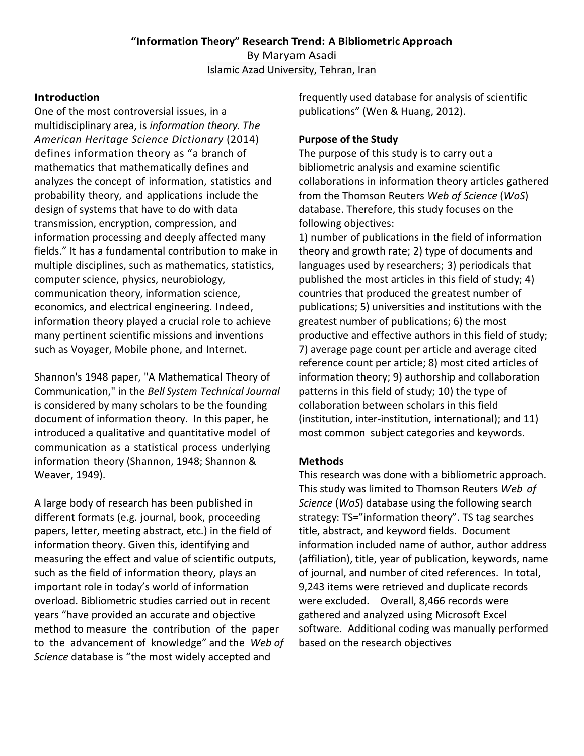# **"Information Theory" Research Trend: A Bibliometric Approach**

By Maryam Asadi Islamic Azad University, Tehran, Iran

### **Introduction**

One of the most controversial issues, in a multidisciplinary area, is *information theory. The American Heritage Science Dictionary* (2014) defines information theory as "a branch of mathematics that mathematically defines and analyzes the concept of information, statistics and probability theory, and applications include the design of systems that have to do with data transmission, encryption, compression, and information processing and deeply affected many fields." It has a fundamental contribution to make in multiple disciplines, such as mathematics, statistics, computer science, physics, neurobiology, communication theory, information science, economics, and electrical engineering. Indeed, information theory played a crucial role to achieve many pertinent scientific missions and inventions such as Voyager, Mobile phone, and Internet.

Shannon's 1948 paper, "A Mathematical Theory of Communication," in the *Bell System Technical Journal* is considered by many scholars to be the founding document of information theory. In this paper, he introduced a qualitative and quantitative model of communication as a statistical process underlying information theory (Shannon, 1948; Shannon & Weaver, 1949).

A large body of research has been published in different formats (e.g. journal, book, proceeding papers, letter, meeting abstract, etc.) in the field of information theory. Given this, identifying and measuring the effect and value of scientific outputs, such as the field of information theory, plays an important role in today's world of information overload. Bibliometric studies carried out in recent years "have provided an accurate and objective method to measure the contribution of the paper to the advancement of knowledge" and the *Web of Science* database is "the most widely accepted and

frequently used database for analysis of scientific publications" (Wen & Huang, 2012).

# **Purpose of the Study**

The purpose of this study is to carry out a bibliometric analysis and examine scientific collaborations in information theory articles gathered from the Thomson Reuters *Web of Science* (*WoS*) database. Therefore, this study focuses on the following objectives:

1) number of publications in the field of information theory and growth rate; 2) type of documents and languages used by researchers; 3) periodicals that published the most articles in this field of study; 4) countries that produced the greatest number of publications; 5) universities and institutions with the greatest number of publications; 6) the most productive and effective authors in this field of study; 7) average page count per article and average cited reference count per article; 8) most cited articles of information theory; 9) authorship and collaboration patterns in this field of study; 10) the type of collaboration between scholars in this field (institution, inter‐institution, international); and 11) most common subject categories and keywords.

# **Methods**

This research was done with a bibliometric approach. This study was limited to Thomson Reuters *Web of Science* (*WoS*) database using the following search strategy: TS="information theory". TS tag searches title, abstract, and keyword fields. Document information included name of author, author address (affiliation), title, year of publication, keywords, name of journal, and number of cited references. In total, 9,243 items were retrieved and duplicate records were excluded. Overall, 8,466 records were gathered and analyzed using Microsoft Excel software. Additional coding was manually performed based on the research objectives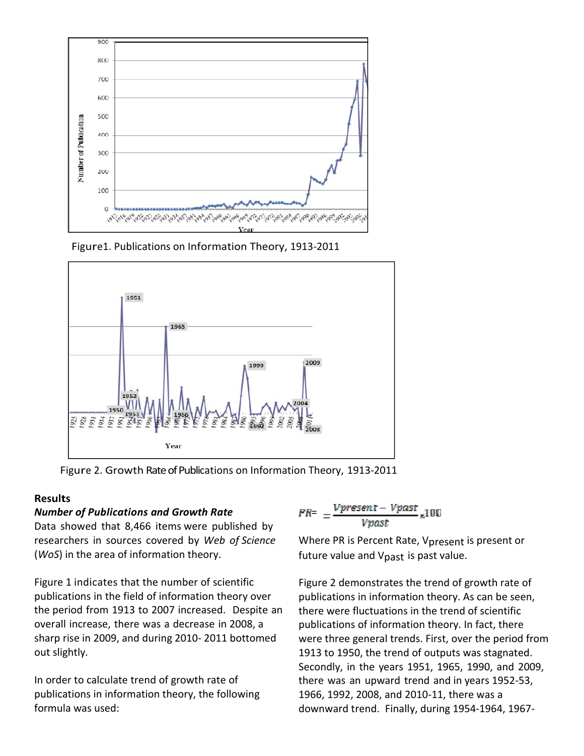

Figure1. Publications on Information Theory, 1913‐2011



Figure 2. Growth Rate of Publications on Information Theory, 1913-2011

#### **Results**

#### *Number of Publications and Growth Rate*

Data showed that 8,466 items were published by researchers in sources covered by *Web of Science* (*WoS*) in the area of information theory.

Figure 1 indicates that the number of scientific publications in the field of information theory over the period from 1913 to 2007 increased. Despite an overall increase, there was a decrease in 2008, a sharp rise in 2009, and during 2010‐ 2011 bottomed out slightly.

In order to calculate trend of growth rate of publications in information theory, the following formula was used:

$$
PR = \frac{Vpresent - Vpast}{Vpast} \times 100
$$

Where PR is Percent Rate, Vpresent is present or future value and Vpast is past value.

Figure 2 demonstrates the trend of growth rate of publications in information theory. As can be seen, there were fluctuations in the trend of scientific publications of information theory. In fact, there were three general trends. First, over the period from 1913 to 1950, the trend of outputs was stagnated. Secondly, in the years 1951, 1965, 1990, and 2009, there was an upward trend and in years 1952‐53, 1966, 1992, 2008, and 2010‐11, there was a downward trend. Finally, during 1954‐1964, 1967‐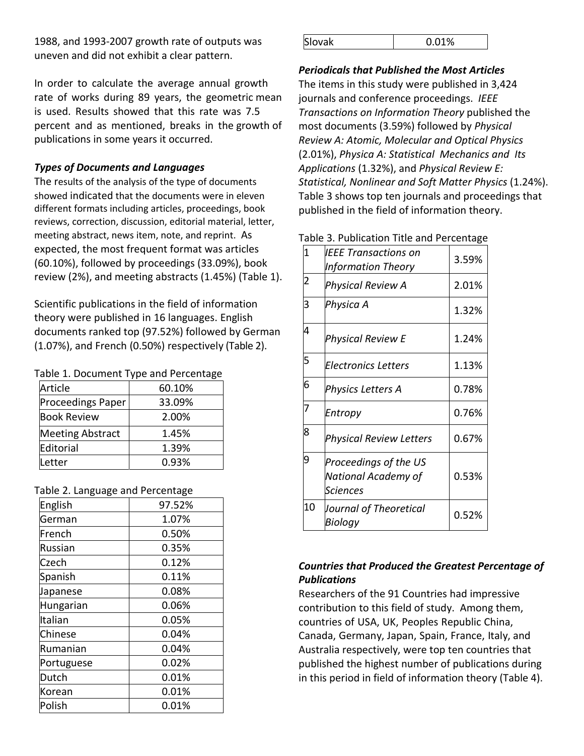1988, and 1993‐2007 growth rate of outputs was uneven and did not exhibit a clear pattern.

In order to calculate the average annual growth rate of works during 89 years, the geometric mean is used. Results showed that this rate was 7.5 percent and as mentioned, breaks in the growth of publications in some years it occurred.

# *Types of Documents and Languages*

The results of the analysis of the type of documents showed indicated that the documents were in eleven different formats including articles, proceedings, book reviews, correction, discussion, editorial material, letter, meeting abstract, news item, note, and reprint. As expected, the most frequent format was articles (60.10%), followed by proceedings (33.09%), book review (2%), and meeting abstracts (1.45%) (Table 1).

Scientific publications in the field of information theory were published in 16 languages. English documents ranked top (97.52%) followed by German (1.07%), and French (0.50%) respectively (Table 2).

#### Table 1. Document Type and Percentage

| Article                 | 60.10% |
|-------------------------|--------|
| Proceedings Paper       | 33.09% |
| <b>Book Review</b>      | 2.00%  |
| <b>Meeting Abstract</b> | 1.45%  |
| Editorial               | 1.39%  |
| Letter                  | 0.93%  |

#### Table 2. Language and Percentage

| 97.52% |
|--------|
| 1.07%  |
| 0.50%  |
| 0.35%  |
| 0.12%  |
| 0.11%  |
| 0.08%  |
| 0.06%  |
| 0.05%  |
| 0.04%  |
| 0.04%  |
| 0.02%  |
| 0.01%  |
| 0.01%  |
| 0.01%  |
|        |

| Slovak<br>0.01% |
|-----------------|
|-----------------|

#### *Periodicals that Published the Most Articles*

The items in this study were published in 3,424 journals and conference proceedings. *IEEE Transactions on Information Theory* published the most documents (3.59%) followed by *Physical Review A: Atomic, Molecular and Optical Physics* (2.01%), *Physica A: Statistical Mechanics and Its Applications* (1.32%), and *Physical Review E: Statistical, Nonlinear and Soft Matter Physics* (1.24%). Table 3 shows top ten journals and proceedings that published in the field of information theory.

#### Table 3. Publication Title and Percentage

| $\overline{1}$ | IEEE Transactions on<br><b>Information Theory</b>        | 3.59% |
|----------------|----------------------------------------------------------|-------|
| 2              | Physical Review A                                        | 2.01% |
| 3              | Physica A                                                | 1.32% |
| 4              | Physical Review E                                        | 1.24% |
| 5              | <b>Electronics Letters</b>                               | 1.13% |
| 6              | Physics Letters A                                        | 0.78% |
| 7              | Entropy                                                  | 0.76% |
| 8              | <b>Physical Review Letters</b>                           | 0.67% |
| 9              | Proceedings of the US<br>National Academy of<br>Sciences | 0.53% |
| 10             | Journal of Theoretical<br>Biology                        | 0.52% |

# *Countries that Produced the Greatest Percentage of Publications*

Researchers of the 91 Countries had impressive contribution to this field of study. Among them, countries of USA, UK, Peoples Republic China, Canada, Germany, Japan, Spain, France, Italy, and Australia respectively, were top ten countries that published the highest number of publications during in this period in field of information theory (Table 4).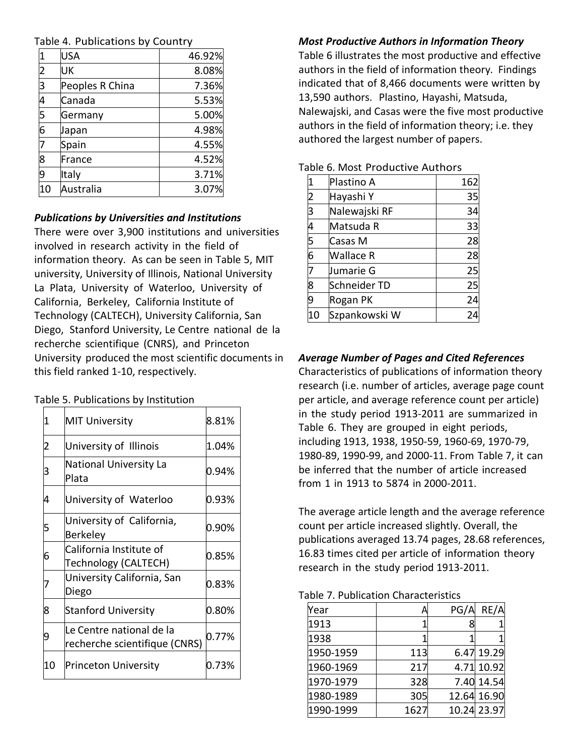|  | Table 4. Publications by Country |  |
|--|----------------------------------|--|
|--|----------------------------------|--|

| 1                       | <b>USA</b>      | 46.92% |
|-------------------------|-----------------|--------|
| $\overline{2}$          | UK              | 8.08%  |
| $\overline{\mathsf{3}}$ | Peoples R China | 7.36%  |
| 4                       | Canada          | 5.53%  |
| 5                       | Germany         | 5.00%  |
| 6                       | Japan           | 4.98%  |
| 7                       | Spain           | 4.55%  |
| 8                       | France          | 4.52%  |
| $\overline{9}$          | Italy           | 3.71%  |
| 10                      | Australia       | 3.07%  |

#### *Publications by Universities and Institutions*

There were over 3,900 institutions and universities involved in research activity in the field of information theory. As can be seen in Table 5, MIT university, University of Illinois, National University La Plata, University of Waterloo, University of California, Berkeley, California Institute of Technology (CALTECH), University California, San Diego, Stanford University, Le Centre national de la recherche scientifique (CNRS), and Princeton University produced the most scientific documents in this field ranked 1‐10, respectively.

Table 5. Publications by Institution

| 1  | <b>MIT University</b>                                     | 8.81% |
|----|-----------------------------------------------------------|-------|
| 2  | University of Illinois                                    | 1.04% |
| 3  | National University La<br>Plata                           | 0.94% |
| 4  | University of Waterloo                                    | 0.93% |
| 5  | University of California,<br><b>Berkeley</b>              | 0.90% |
| 6  | California Institute of<br>Technology (CALTECH)           | 0.85% |
|    | University California, San<br>Diego                       | 0.83% |
| 8  | <b>Stanford University</b>                                | 0.80% |
| 9  | Le Centre national de la<br>recherche scientifique (CNRS) | 0.77% |
| 10 | Princeton University                                      | 0.73% |

# *Most Productive Authors in Information Theory*

Table 6 illustrates the most productive and effective authors in the field of information theory. Findings indicated that of 8,466 documents were written by 13,590 authors. Plastino, Hayashi, Matsuda, Nalewajski, and Casas were the five most productive authors in the field of information theory; i.e. they authored the largest number of papers.

| 1              | Plastino A       | 162 |
|----------------|------------------|-----|
| $\overline{2}$ | Hayashi Y        | 35  |
| 3              | Nalewajski RF    | 34  |
| $\overline{4}$ | Matsuda R        | 33  |
| $\overline{5}$ | Casas M          | 28  |
| $\overline{6}$ | <b>Wallace R</b> | 28  |
| 7              | Jumarie G        | 25  |
| 8              | Schneider TD     | 25  |
| 9              | Rogan PK         | 24  |
| 10             | Szpankowski W    | 24  |

# Table 6. Most Productive Authors

#### *Average Number of Pages and Cited References*

Characteristics of publications of information theory research (i.e. number of articles, average page count per article, and average reference count per article) in the study period 1913‐2011 are summarized in Table 6. They are grouped in eight periods, including 1913, 1938, 1950‐59, 1960‐69, 1970‐79, 1980‐89, 1990‐99, and 2000‐11. From Table 7, it can be inferred that the number of article increased from 1 in 1913 to 5874 in 2000‐2011.

The average article length and the average reference count per article increased slightly. Overall, the publications averaged 13.74 pages, 28.68 references, 16.83 times cited per article of information theory research in the study period 1913‐2011.

#### Table 7. Publication Characteristics

| Year      | А    | PG/A | RE/A        |
|-----------|------|------|-------------|
| 1913      |      |      |             |
| 1938      |      |      |             |
| 1950-1959 | 113  |      | 6.47 19.29  |
| 1960-1969 | 217  |      | 4.71 10.92  |
| 1970-1979 | 328  |      | 7.40 14.54  |
| 1980-1989 | 305  |      | 12.64 16.90 |
| 1990-1999 | 1627 |      | 10.24 23.97 |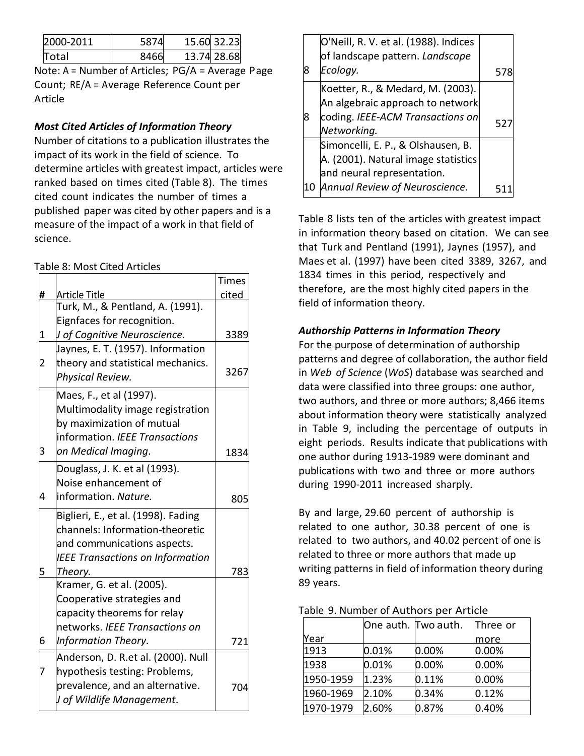| 2000-2011    |  | 15.60 32.23 |
|--------------|--|-------------|
| <b>Total</b> |  | 13.74 28.68 |

Note: A = Number of Articles; PG/A = Average Page Count; RE/A = Average Reference Count per Article

# *Most Cited Articles of Information Theory*

Number of citations to a publication illustrates the impact of its work in the field of science. To determine articles with greatest impact, articles were ranked based on times cited (Table 8). The times cited count indicates the number of times a published paper was cited by other papers and is a measure of the impact of a work in that field of science.

# Table 8: Most Cited Articles

|              |                                         | <b>Times</b> |
|--------------|-----------------------------------------|--------------|
| #            | Article Title                           | cited        |
|              | Turk, M., & Pentland, A. (1991).        |              |
|              | Eignfaces for recognition.              |              |
| $\mathbf 1$  | J of Cognitive Neuroscience.            | 3389         |
|              | Jaynes, E. T. (1957). Information       |              |
| $\mathbf{z}$ | theory and statistical mechanics.       | 3267         |
|              | Physical Review.                        |              |
|              | Maes, F., et al (1997).                 |              |
|              | Multimodality image registration        |              |
|              | by maximization of mutual               |              |
|              | information. IEEE Transactions          |              |
| 3            | on Medical Imaging.                     | 1834         |
|              | Douglass, J. K. et al (1993).           |              |
|              | Noise enhancement of                    |              |
| 4            | information. Nature.                    | 805          |
|              | Biglieri, E., et al. (1998). Fading     |              |
|              | channels: Information-theoretic         |              |
|              | and communications aspects.             |              |
|              | <b>IEEE Transactions on Information</b> |              |
| 5            | Theory.                                 | 783          |
|              | Kramer, G. et al. (2005).               |              |
|              | Cooperative strategies and              |              |
|              | capacity theorems for relay             |              |
|              | networks. IEEE Transactions on          |              |
| 6            | Information Theory.                     | 721          |
|              | Anderson, D. R.et al. (2000). Null      |              |
| 7            | hypothesis testing: Problems,           |              |
|              | prevalence, and an alternative.         | 704          |
|              | J of Wildlife Management.               |              |

|    | O'Neill, R. V. et al. (1988). Indices<br>of landscape pattern. Landscape                                |    |
|----|---------------------------------------------------------------------------------------------------------|----|
| 8  | Ecology.                                                                                                | 51 |
|    | Koetter, R., & Medard, M. (2003).<br>An algebraic approach to network                                   |    |
| 8  | coding. IEEE-ACM Transactions on<br>Networking.                                                         | 52 |
|    | Simoncelli, E. P., & Olshausen, B.<br>A. (2001). Natural image statistics<br>and neural representation. |    |
| 10 | Annual Review of Neuroscience.                                                                          |    |

Table 8 lists ten of the articles with greatest impact in information theory based on citation. We can see that Turk and Pentland (1991), Jaynes (1957), and Maes et al. (1997) have been cited 3389, 3267, and 1834 times in this period, respectively and therefore, are the most highly cited papers in the field of information theory.

# *Authorship Patterns in Information Theory*

For the purpose of determination of authorship patterns and degree of collaboration, the author field in *Web of Science* (*WoS*) database was searched and data were classified into three groups: one author, two authors, and three or more authors; 8,466 items about information theory were statistically analyzed in Table 9, including the percentage of outputs in eight periods. Results indicate that publications with one author during 1913‐1989 were dominant and publications with two and three or more authors during 1990‐2011 increased sharply.

By and large, 29.60 percent of authorship is related to one author, 30.38 percent of one is related to two authors, and 40.02 percent of one is related to three or more authors that made up writing patterns in field of information theory during 89 years.

#### Table 9. Number of Authors per Article

|           | One auth. Two auth. |       | Three or |  |
|-----------|---------------------|-------|----------|--|
| Year      |                     |       | more     |  |
| 1913      | 0.01%               | 0.00% | 0.00%    |  |
| 1938      | 0.01%               | 0.00% | 0.00%    |  |
| 1950-1959 | 1.23%               | 0.11% | 0.00%    |  |
| 1960-1969 | 2.10%               | 0.34% | 0.12%    |  |
| 1970-1979 | 2.60%               | 0.87% | 0.40%    |  |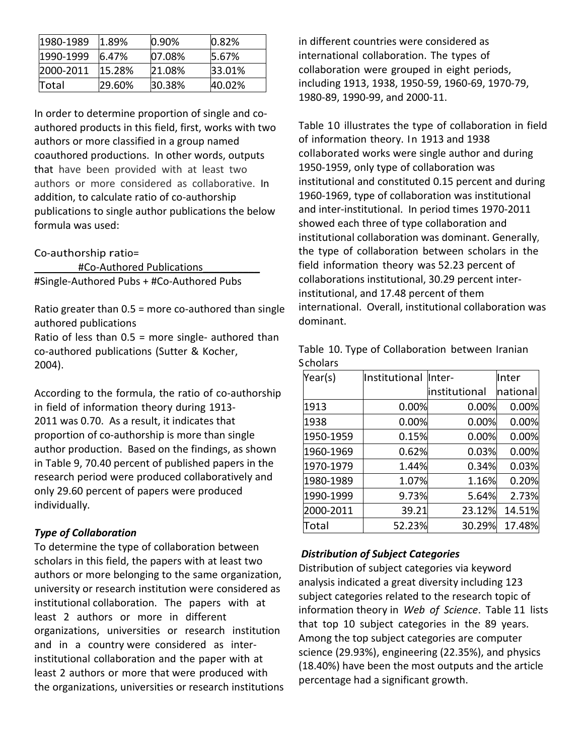| 1980-1989  | 1.89%  | $10.90\%$ | 0.82%  |
|------------|--------|-----------|--------|
| 1990-1999  | 6.47%  | 07.08%    | 15.67% |
| 12000-2011 | 15.28% | 21.08%    | 33.01% |
| Total      | 29.60% | 30.38%    | 40.02% |

In order to determine proportion of single and co‐ authored products in this field, first, works with two authors or more classified in a group named coauthored productions. In other words, outputs that have been provided with at least two authors or more considered as collaborative. In addition, to calculate ratio of co‐authorship publications to single author publications the below formula was used:

Co‐authorship ratio=

#Co-Authored Publications #Single‐Authored Pubs + #Co‐Authored Pubs

Ratio greater than  $0.5$  = more co-authored than single authored publications

Ratio of less than  $0.5$  = more single- authored than co‐authored publications (Sutter & Kocher, 2004).

According to the formula, the ratio of co‐authorship in field of information theory during 1913‐ 2011 was 0.70. As a result, it indicates that proportion of co‐authorship is more than single author production. Based on the findings, as shown in Table 9, 70.40 percent of published papers in the research period were produced collaboratively and only 29.60 percent of papers were produced individually.

#### *Type of Collaboration*

To determine the type of collaboration between scholars in this field, the papers with at least two authors or more belonging to the same organization, university or research institution were considered as institutional collaboration. The papers with at least 2 authors or more in different organizations, universities or research institution and in a country were considered as interinstitutional collaboration and the paper with at least 2 authors or more that were produced with the organizations, universities or research institutions in different countries were considered as international collaboration. The types of collaboration were grouped in eight periods, including 1913, 1938, 1950‐59, 1960‐69, 1970‐79, 1980‐89, 1990‐99, and 2000‐11.

Table 10 illustrates the type of collaboration in field of information theory. In 1913 and 1938 collaborated works were single author and during 1950‐1959, only type of collaboration was institutional and constituted 0.15 percent and during 1960‐1969, type of collaboration was institutional and inter‐institutional. In period times 1970‐2011 showed each three of type collaboration and institutional collaboration was dominant. Generally, the type of collaboration between scholars in the field information theory was 52.23 percent of collaborations institutional, 30.29 percent inter‐ institutional, and 17.48 percent of them international. Overall, institutional collaboration was dominant.

Table 10. Type of Collaboration between Iranian **Scholars** 

| Year(s)   | Institutional Inter- |               | Inter    |
|-----------|----------------------|---------------|----------|
|           |                      | institutional | national |
| 1913      | 0.00%                | 0.00%         | 0.00%    |
| 1938      | 0.00%                | 0.00%         | 0.00%    |
| 1950-1959 | 0.15%                | 0.00%         | 0.00%    |
| 1960-1969 | 0.62%                | 0.03%         | 0.00%    |
| 1970-1979 | 1.44%                | 0.34%         | 0.03%    |
| 1980-1989 | 1.07%                | 1.16%         | 0.20%    |
| 1990-1999 | 9.73%                | 5.64%         | 2.73%    |
| 2000-2011 | 39.21                | 23.12%        | 14.51%   |
| Total     | 52.23%               | 30.29%        | 17.48%   |

#### *Distribution of Subject Categories*

Distribution of subject categories via keyword analysis indicated a great diversity including 123 subject categories related to the research topic of information theory in *Web of Science*. Table 11 lists that top 10 subject categories in the 89 years. Among the top subject categories are computer science (29.93%), engineering (22.35%), and physics (18.40%) have been the most outputs and the article percentage had a significant growth.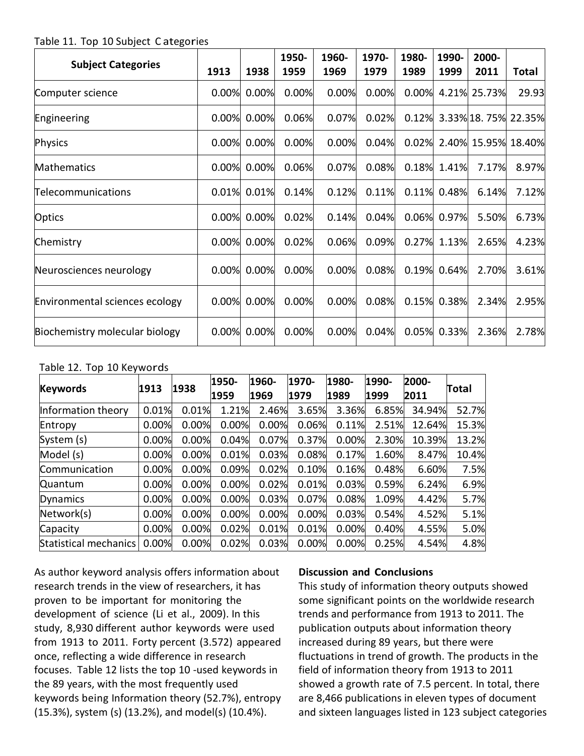Table 11. Top 10 Subject C ategories

| <b>Subject Categories</b>      | 1913  | 1938  | 1950-<br>1959 | 1960-<br>1969 | 1970-<br>1979 | 1980-<br>1989 | 1990-<br>1999 | 2000-<br>2011             | Total |
|--------------------------------|-------|-------|---------------|---------------|---------------|---------------|---------------|---------------------------|-------|
| Computer science               | 0.00% | 0.00% | 0.00%         | 0.00%         | 0.00%         |               |               | 0.00% 4.21% 25.73%        | 29.93 |
| Engineering                    | 0.00% | 0.00% | 0.06%         | 0.07%         | 0.02%         | 0.12%         |               | 3.33% 18.75% 22.35%       |       |
| Physics                        | 0.00% | 0.00% | 0.00%         | 0.00%         | 0.04%         |               |               | 0.02% 2.40% 15.95% 18.40% |       |
| Mathematics                    | 0.00% | 0.00% | 0.06%         | 0.07%         | 0.08%         |               | 0.18% 1.41%   | 7.17%                     | 8.97% |
| Telecommunications             | 0.01% | 0.01% | 0.14%         | 0.12%         | 0.11%         | 0.11%         | 0.48%         | 6.14%                     | 7.12% |
| Optics                         | 0.00% | 0.00% | 0.02%         | 0.14%         | 0.04%         | 0.06%         | 0.97%         | 5.50%                     | 6.73% |
| Chemistry                      | 0.00% | 0.00% | 0.02%         | 0.06%         | 0.09%         |               | 0.27% 1.13%   | 2.65%                     | 4.23% |
| Neurosciences neurology        | 0.00% | 0.00% | 0.00%         | 0.00%         | 0.08%         | 0.19%         | 0.64%         | 2.70%                     | 3.61% |
| Environmental sciences ecology | 0.00% | 0.00% | 0.00%         | 0.00%         | 0.08%         | 0.15%         | 0.38%         | 2.34%                     | 2.95% |
| Biochemistry molecular biology | 0.00% | 0.00% | 0.00%         | 0.00%         | 0.04%         | 0.05%         | 0.33%         | 2.36%                     | 2.78% |

# Table 12. Top 10 Keywords

| <b>Keywords</b>       | 1913  | 1938  | 1950-<br>1959 | 1960-<br>1969 | 1970-<br>1979 | 1980-<br>1989 | 1990-<br>1999 | 2000-<br>2011 | Total |
|-----------------------|-------|-------|---------------|---------------|---------------|---------------|---------------|---------------|-------|
| Information theory    | 0.01% | 0.01% | 1.21%         | 2.46%         | 3.65%         | 3.36%         | 6.85%         | 34.94%        | 52.7% |
| Entropy               | 0.00% | 0.00% | 0.00%         | 0.00%         | 0.06%         | 0.11%         | 2.51%         | 12.64%        | 15.3% |
| System (s)            | 0.00% | 0.00% | 0.04%         | 0.07%         | 0.37%         | 0.00%         | 2.30%         | 10.39%        | 13.2% |
| Model (s)             | 0.00% | 0.00% | 0.01%         | 0.03%         | 0.08%         | 0.17%         | 1.60%         | 8.47%         | 10.4% |
| Communication         | 0.00% | 0.00% | 0.09%         | 0.02%         | 0.10%         | 0.16%         | 0.48%         | 6.60%         | 7.5%  |
| Quantum               | 0.00% | 0.00% | 0.00%         | 0.02%         | 0.01%         | 0.03%         | 0.59%         | 6.24%         | 6.9%  |
| Dynamics              | 0.00% | 0.00% | 0.00%         | 0.03%         | 0.07%         | 0.08%         | 1.09%         | 4.42%         | 5.7%  |
| Network(s)            | 0.00% | 0.00% | 0.00%         | 0.00%         | 0.00%         | 0.03%         | 0.54%         | 4.52%         | 5.1%  |
| Capacity              | 0.00% | 0.00% | 0.02%         | 0.01%         | 0.01%         | 0.00%         | 0.40%         | 4.55%         | 5.0%  |
| Statistical mechanics | 0.00% | 0.00% | 0.02%         | 0.03%         | 0.00%         | 0.00%         | 0.25%         | 4.54%         | 4.8%  |

As author keyword analysis offers information about research trends in the view of researchers, it has proven to be important for monitoring the development of science (Li et al., 2009). In this study, 8,930 different author keywords were used from 1913 to 2011. Forty percent (3.572) appeared once, reflecting a wide difference in research focuses. Table 12 lists the top 10 ‐used keywords in the 89 years, with the most frequently used keywords being Information theory (52.7%), entropy (15.3%), system (s) (13.2%), and model(s) (10.4%).

#### **Discussion and Conclusions**

This study of information theory outputs showed some significant points on the worldwide research trends and performance from 1913 to 2011. The publication outputs about information theory increased during 89 years, but there were fluctuations in trend of growth. The products in the field of information theory from 1913 to 2011 showed a growth rate of 7.5 percent. In total, there are 8,466 publications in eleven types of document and sixteen languages listed in 123 subject categories